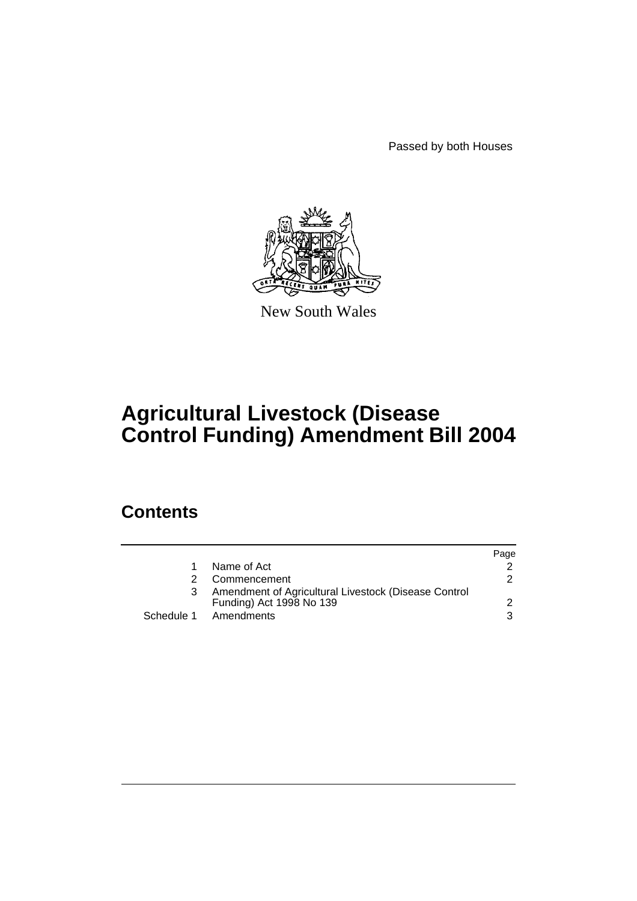Passed by both Houses



New South Wales

# **Agricultural Livestock (Disease Control Funding) Amendment Bill 2004**

# **Contents**

|    |                                                                                  | Page |
|----|----------------------------------------------------------------------------------|------|
| 1. | Name of Act                                                                      |      |
|    | Commencement                                                                     | 2    |
| 3  | Amendment of Agricultural Livestock (Disease Control<br>Funding) Act 1998 No 139 |      |
|    | Schedule 1 Amendments                                                            | 3    |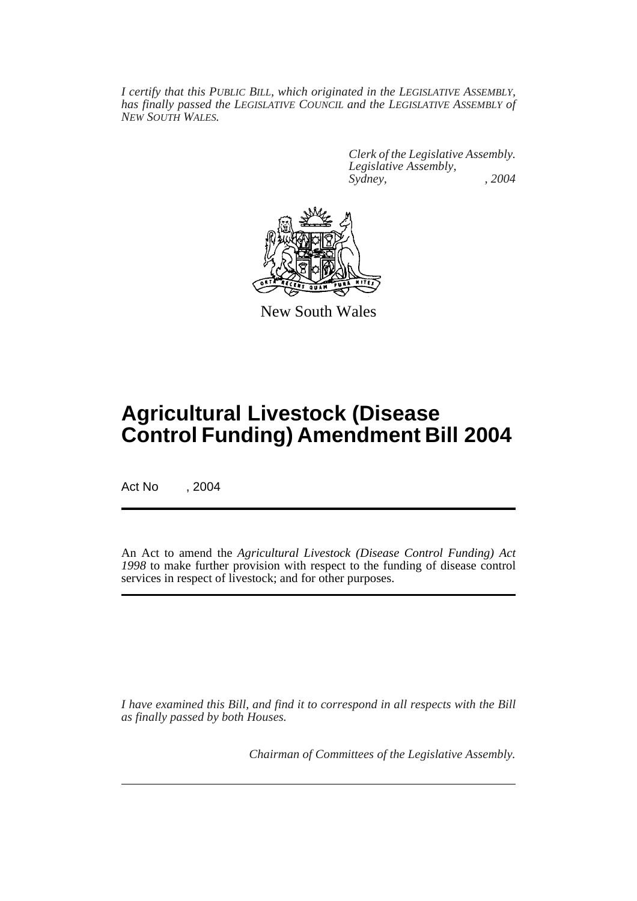*I certify that this PUBLIC BILL, which originated in the LEGISLATIVE ASSEMBLY, has finally passed the LEGISLATIVE COUNCIL and the LEGISLATIVE ASSEMBLY of NEW SOUTH WALES.*

> *Clerk of the Legislative Assembly. Legislative Assembly, Sydney, , 2004*



New South Wales

# **Agricultural Livestock (Disease Control Funding) Amendment Bill 2004**

Act No , 2004

An Act to amend the *Agricultural Livestock (Disease Control Funding) Act 1998* to make further provision with respect to the funding of disease control services in respect of livestock; and for other purposes.

*I have examined this Bill, and find it to correspond in all respects with the Bill as finally passed by both Houses.*

*Chairman of Committees of the Legislative Assembly.*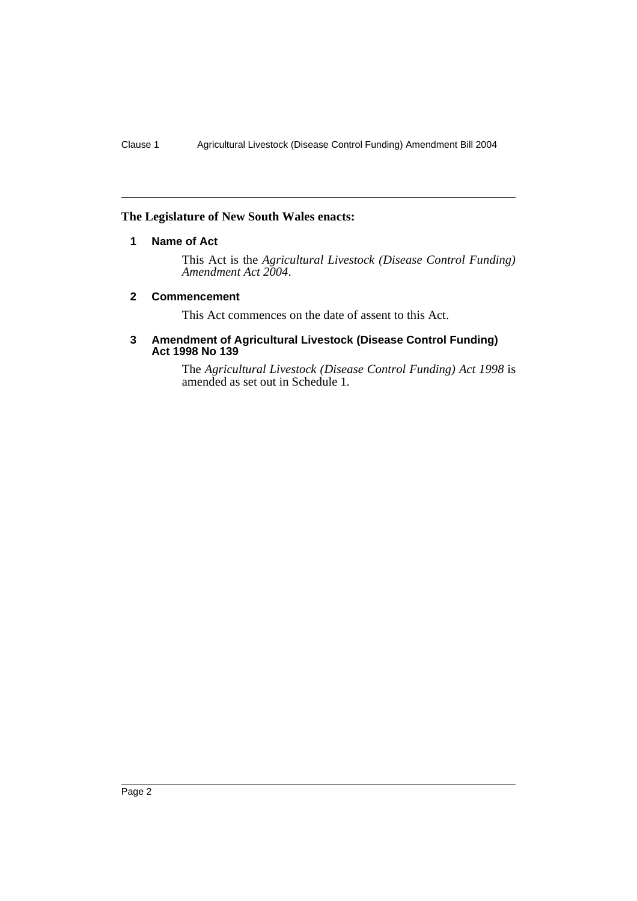# **The Legislature of New South Wales enacts:**

# **1 Name of Act**

This Act is the *Agricultural Livestock (Disease Control Funding) Amendment Act 2004*.

#### **2 Commencement**

This Act commences on the date of assent to this Act.

#### **3 Amendment of Agricultural Livestock (Disease Control Funding) Act 1998 No 139**

The *Agricultural Livestock (Disease Control Funding) Act 1998* is amended as set out in Schedule 1.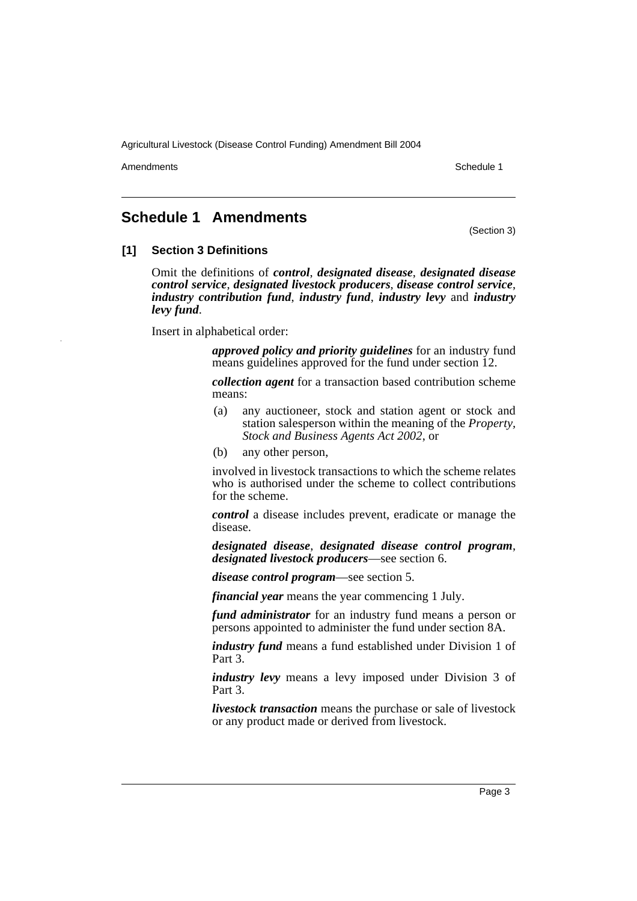Amendments **Amendments** Schedule 1

# **Schedule 1 Amendments**

(Section 3)

### **[1] Section 3 Definitions**

Omit the definitions of *control*, *designated disease*, *designated disease control service*, *designated livestock producers*, *disease control service*, *industry contribution fund*, *industry fund*, *industry levy* and *industry levy fund*.

Insert in alphabetical order:

*approved policy and priority guidelines* for an industry fund means guidelines approved for the fund under section 12.

*collection agent* for a transaction based contribution scheme means:

- (a) any auctioneer, stock and station agent or stock and station salesperson within the meaning of the *Property, Stock and Business Agents Act 2002*, or
- (b) any other person,

involved in livestock transactions to which the scheme relates who is authorised under the scheme to collect contributions for the scheme.

*control* a disease includes prevent, eradicate or manage the disease.

*designated disease*, *designated disease control program*, *designated livestock producers*—see section 6.

*disease control program*—see section 5.

*financial year* means the year commencing 1 July.

*fund administrator* for an industry fund means a person or persons appointed to administer the fund under section 8A.

*industry fund* means a fund established under Division 1 of Part 3.

*industry levy* means a levy imposed under Division 3 of Part 3.

*livestock transaction* means the purchase or sale of livestock or any product made or derived from livestock.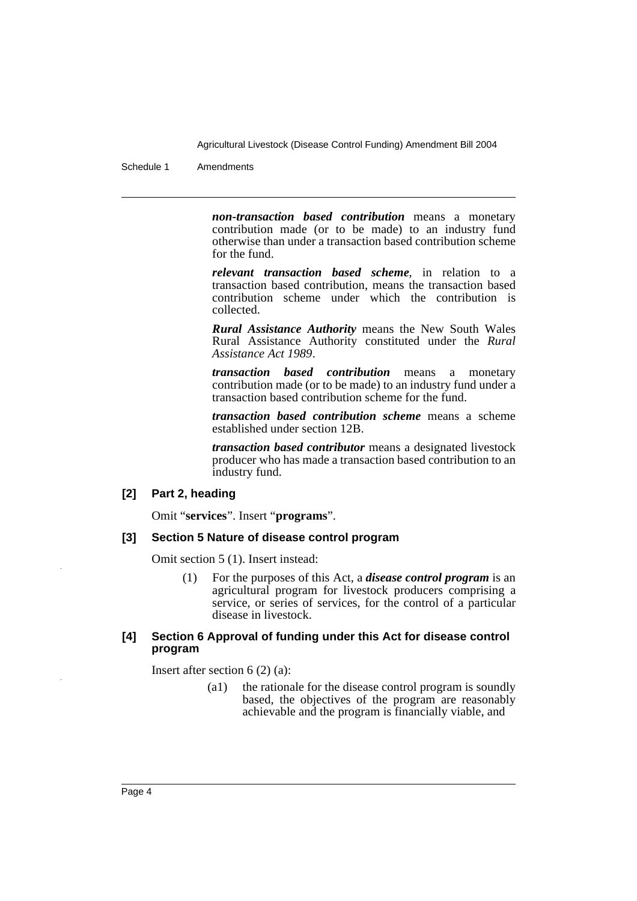Schedule 1 Amendments

*non-transaction based contribution* means a monetary contribution made (or to be made) to an industry fund otherwise than under a transaction based contribution scheme for the fund.

*relevant transaction based scheme*, in relation to a transaction based contribution, means the transaction based contribution scheme under which the contribution is collected.

*Rural Assistance Authority* means the New South Wales Rural Assistance Authority constituted under the *Rural Assistance Act 1989*.

*transaction based contribution* means a monetary contribution made (or to be made) to an industry fund under a transaction based contribution scheme for the fund.

*transaction based contribution scheme* means a scheme established under section 12B.

*transaction based contributor* means a designated livestock producer who has made a transaction based contribution to an industry fund.

#### **[2] Part 2, heading**

Omit "**services**". Insert "**programs**".

#### **[3] Section 5 Nature of disease control program**

Omit section 5 (1). Insert instead:

(1) For the purposes of this Act, a *disease control program* is an agricultural program for livestock producers comprising a service, or series of services, for the control of a particular disease in livestock.

#### **[4] Section 6 Approval of funding under this Act for disease control program**

Insert after section 6 (2) (a):

(a1) the rationale for the disease control program is soundly based, the objectives of the program are reasonably achievable and the program is financially viable, and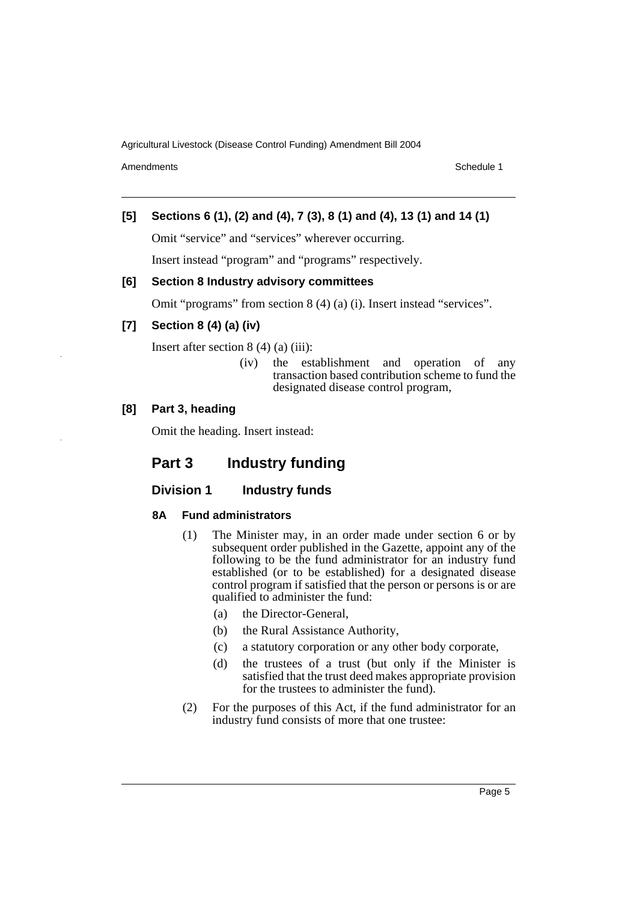Amendments **Amendments** Schedule 1

# **[5] Sections 6 (1), (2) and (4), 7 (3), 8 (1) and (4), 13 (1) and 14 (1)**

Omit "service" and "services" wherever occurring.

Insert instead "program" and "programs" respectively.

#### **[6] Section 8 Industry advisory committees**

Omit "programs" from section 8 (4) (a) (i). Insert instead "services".

## **[7] Section 8 (4) (a) (iv)**

Insert after section 8 (4) (a) (iii):

(iv) the establishment and operation of any transaction based contribution scheme to fund the designated disease control program,

#### **[8] Part 3, heading**

Omit the heading. Insert instead:

# **Part 3 Industry funding**

### **Division 1** Industry funds

#### **8A Fund administrators**

- (1) The Minister may, in an order made under section 6 or by subsequent order published in the Gazette, appoint any of the following to be the fund administrator for an industry fund established (or to be established) for a designated disease control program if satisfied that the person or persons is or are qualified to administer the fund:
	- (a) the Director-General,
	- (b) the Rural Assistance Authority,
	- (c) a statutory corporation or any other body corporate,
	- (d) the trustees of a trust (but only if the Minister is satisfied that the trust deed makes appropriate provision for the trustees to administer the fund).
- (2) For the purposes of this Act, if the fund administrator for an industry fund consists of more that one trustee: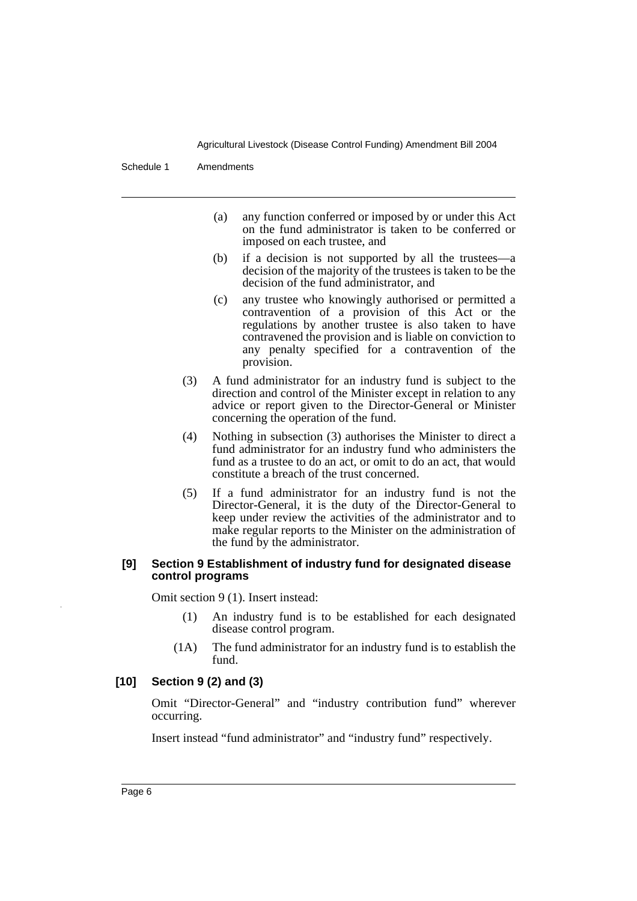Schedule 1 Amendments

- (a) any function conferred or imposed by or under this Act on the fund administrator is taken to be conferred or imposed on each trustee, and
- (b) if a decision is not supported by all the trustees—a decision of the majority of the trustees is taken to be the decision of the fund administrator, and
- (c) any trustee who knowingly authorised or permitted a contravention of a provision of this Act or the regulations by another trustee is also taken to have contravened the provision and is liable on conviction to any penalty specified for a contravention of the provision.
- (3) A fund administrator for an industry fund is subject to the direction and control of the Minister except in relation to any advice or report given to the Director-General or Minister concerning the operation of the fund.
- (4) Nothing in subsection (3) authorises the Minister to direct a fund administrator for an industry fund who administers the fund as a trustee to do an act, or omit to do an act, that would constitute a breach of the trust concerned.
- (5) If a fund administrator for an industry fund is not the Director-General, it is the duty of the Director-General to keep under review the activities of the administrator and to make regular reports to the Minister on the administration of the fund by the administrator.

#### **[9] Section 9 Establishment of industry fund for designated disease control programs**

Omit section 9 (1). Insert instead:

- (1) An industry fund is to be established for each designated disease control program.
- (1A) The fund administrator for an industry fund is to establish the fund.

# **[10] Section 9 (2) and (3)**

Omit "Director-General" and "industry contribution fund" wherever occurring.

Insert instead "fund administrator" and "industry fund" respectively.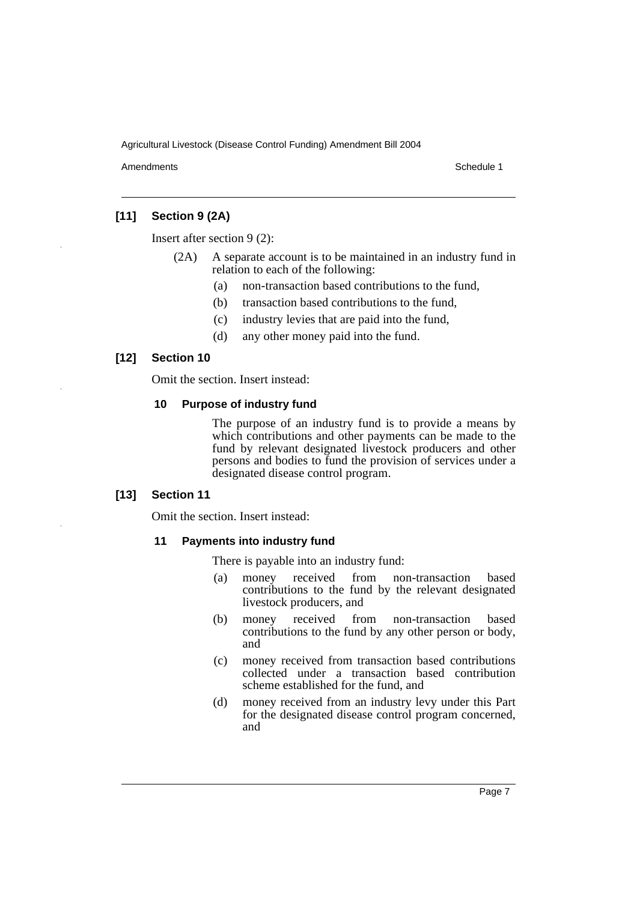Amendments **Amendments** Schedule 1

# **[11] Section 9 (2A)**

Insert after section 9 (2):

- (2A) A separate account is to be maintained in an industry fund in relation to each of the following:
	- (a) non-transaction based contributions to the fund,
	- (b) transaction based contributions to the fund,
	- (c) industry levies that are paid into the fund,
	- (d) any other money paid into the fund.

#### **[12] Section 10**

Omit the section. Insert instead:

#### **10 Purpose of industry fund**

The purpose of an industry fund is to provide a means by which contributions and other payments can be made to the fund by relevant designated livestock producers and other persons and bodies to fund the provision of services under a designated disease control program.

#### **[13] Section 11**

Omit the section. Insert instead:

#### **11 Payments into industry fund**

There is payable into an industry fund:

- (a) money received from non-transaction based contributions to the fund by the relevant designated livestock producers, and
- (b) money received from non-transaction based contributions to the fund by any other person or body, and
- (c) money received from transaction based contributions collected under a transaction based contribution scheme established for the fund, and
- (d) money received from an industry levy under this Part for the designated disease control program concerned, and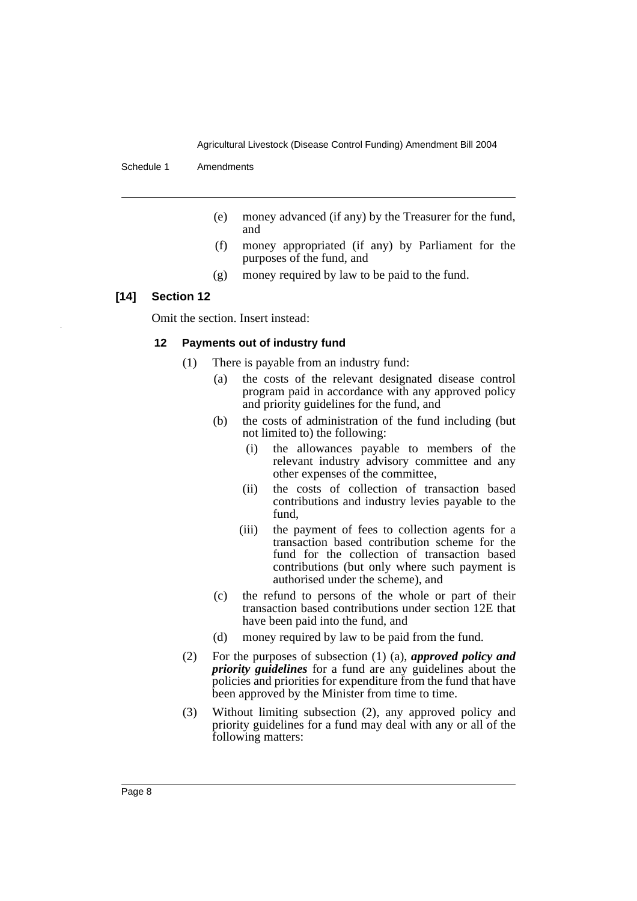Schedule 1 Amendments

- (e) money advanced (if any) by the Treasurer for the fund, and
- (f) money appropriated (if any) by Parliament for the purposes of the fund, and
- (g) money required by law to be paid to the fund.

#### **[14] Section 12**

Omit the section. Insert instead:

#### **12 Payments out of industry fund**

- (1) There is payable from an industry fund:
	- (a) the costs of the relevant designated disease control program paid in accordance with any approved policy and priority guidelines for the fund, and
	- (b) the costs of administration of the fund including (but not limited to) the following:
		- (i) the allowances payable to members of the relevant industry advisory committee and any other expenses of the committee,
		- (ii) the costs of collection of transaction based contributions and industry levies payable to the fund,
		- (iii) the payment of fees to collection agents for a transaction based contribution scheme for the fund for the collection of transaction based contributions (but only where such payment is authorised under the scheme), and
	- (c) the refund to persons of the whole or part of their transaction based contributions under section 12E that have been paid into the fund, and
	- (d) money required by law to be paid from the fund.
- (2) For the purposes of subsection (1) (a), *approved policy and priority guidelines* for a fund are any guidelines about the policies and priorities for expenditure from the fund that have been approved by the Minister from time to time.
- (3) Without limiting subsection (2), any approved policy and priority guidelines for a fund may deal with any or all of the following matters: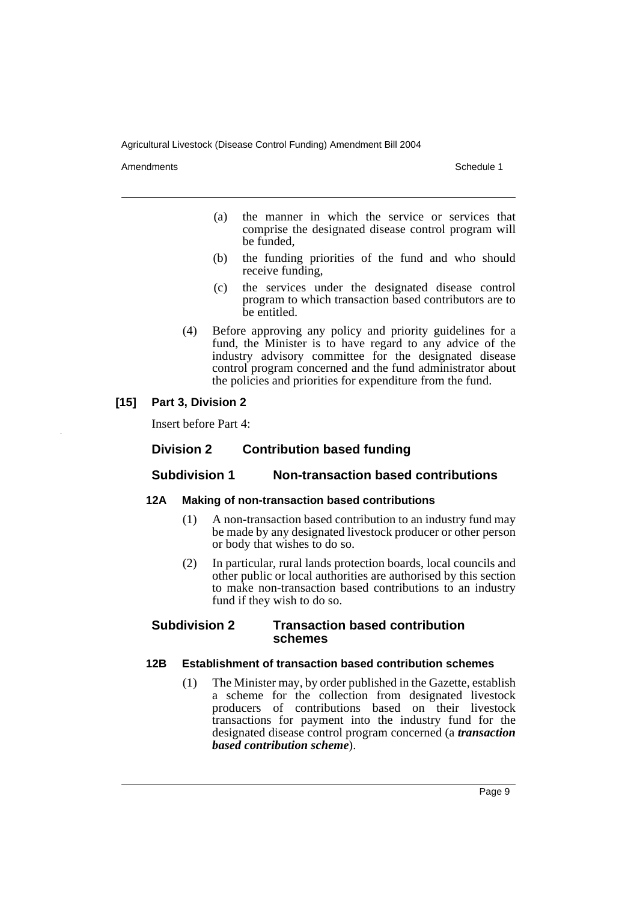Amendments **Amendments** Schedule 1

- (a) the manner in which the service or services that comprise the designated disease control program will be funded,
- (b) the funding priorities of the fund and who should receive funding,
- (c) the services under the designated disease control program to which transaction based contributors are to be entitled.
- (4) Before approving any policy and priority guidelines for a fund, the Minister is to have regard to any advice of the industry advisory committee for the designated disease control program concerned and the fund administrator about the policies and priorities for expenditure from the fund.

## **[15] Part 3, Division 2**

Insert before Part 4:

# **Division 2 Contribution based funding**

#### **Subdivision 1 Non-transaction based contributions**

#### **12A Making of non-transaction based contributions**

- (1) A non-transaction based contribution to an industry fund may be made by any designated livestock producer or other person or body that wishes to do so.
- (2) In particular, rural lands protection boards, local councils and other public or local authorities are authorised by this section to make non-transaction based contributions to an industry fund if they wish to do so.

#### **Subdivision 2 Transaction based contribution schemes**

#### **12B Establishment of transaction based contribution schemes**

(1) The Minister may, by order published in the Gazette, establish a scheme for the collection from designated livestock producers of contributions based on their livestock transactions for payment into the industry fund for the designated disease control program concerned (a *transaction based contribution scheme*).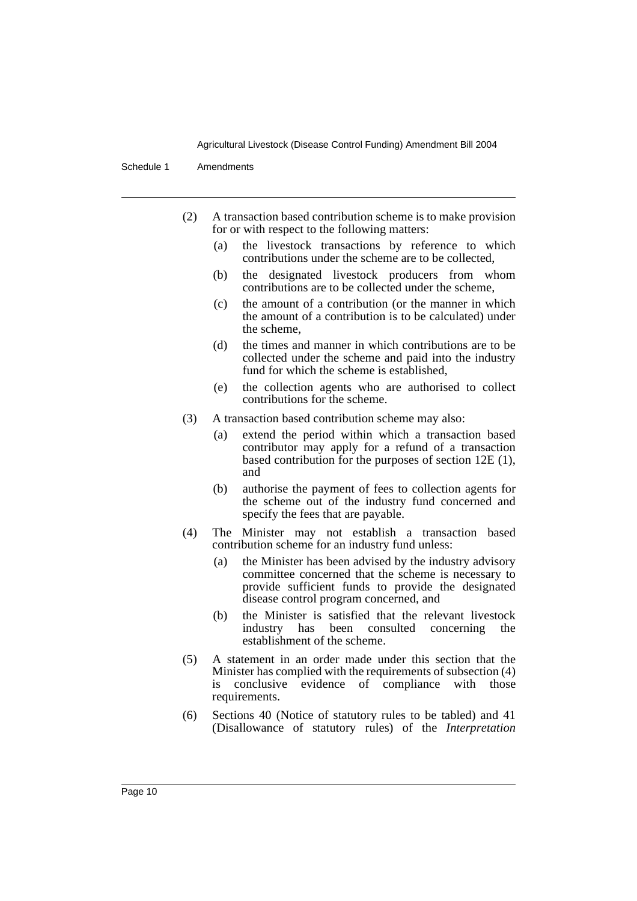Schedule 1 Amendments

- (2) A transaction based contribution scheme is to make provision for or with respect to the following matters:
	- (a) the livestock transactions by reference to which contributions under the scheme are to be collected,
	- (b) the designated livestock producers from whom contributions are to be collected under the scheme,
	- (c) the amount of a contribution (or the manner in which the amount of a contribution is to be calculated) under the scheme,
	- (d) the times and manner in which contributions are to be collected under the scheme and paid into the industry fund for which the scheme is established,
	- (e) the collection agents who are authorised to collect contributions for the scheme.
- (3) A transaction based contribution scheme may also:
	- (a) extend the period within which a transaction based contributor may apply for a refund of a transaction based contribution for the purposes of section 12E (1), and
	- (b) authorise the payment of fees to collection agents for the scheme out of the industry fund concerned and specify the fees that are payable.
- (4) The Minister may not establish a transaction based contribution scheme for an industry fund unless:
	- (a) the Minister has been advised by the industry advisory committee concerned that the scheme is necessary to provide sufficient funds to provide the designated disease control program concerned, and
	- (b) the Minister is satisfied that the relevant livestock industry has been consulted concerning the establishment of the scheme.
- (5) A statement in an order made under this section that the Minister has complied with the requirements of subsection (4) is conclusive evidence of compliance with those requirements.
- (6) Sections 40 (Notice of statutory rules to be tabled) and 41 (Disallowance of statutory rules) of the *Interpretation*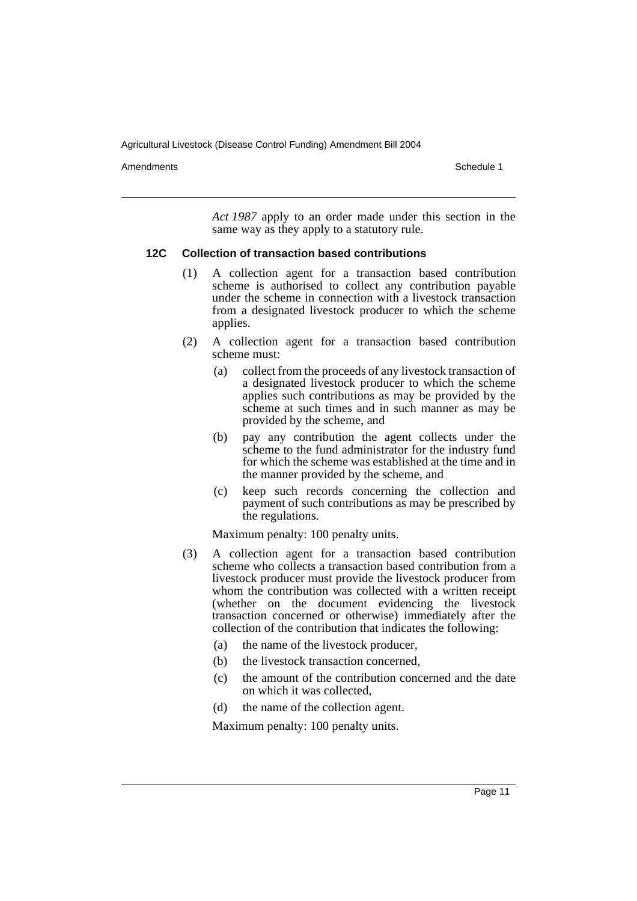Amendments **Amendments** Schedule 1

*Act 1987* apply to an order made under this section in the same way as they apply to a statutory rule.

#### **12C Collection of transaction based contributions**

- (1) A collection agent for a transaction based contribution scheme is authorised to collect any contribution payable under the scheme in connection with a livestock transaction from a designated livestock producer to which the scheme applies.
- (2) A collection agent for a transaction based contribution scheme must:
	- (a) collect from the proceeds of any livestock transaction of a designated livestock producer to which the scheme applies such contributions as may be provided by the scheme at such times and in such manner as may be provided by the scheme, and
	- (b) pay any contribution the agent collects under the scheme to the fund administrator for the industry fund for which the scheme was established at the time and in the manner provided by the scheme, and
	- (c) keep such records concerning the collection and payment of such contributions as may be prescribed by the regulations.

Maximum penalty: 100 penalty units.

- (3) A collection agent for a transaction based contribution scheme who collects a transaction based contribution from a livestock producer must provide the livestock producer from whom the contribution was collected with a written receipt (whether on the document evidencing the livestock transaction concerned or otherwise) immediately after the collection of the contribution that indicates the following:
	- (a) the name of the livestock producer,
	- (b) the livestock transaction concerned,
	- (c) the amount of the contribution concerned and the date on which it was collected,
	- (d) the name of the collection agent.

Maximum penalty: 100 penalty units.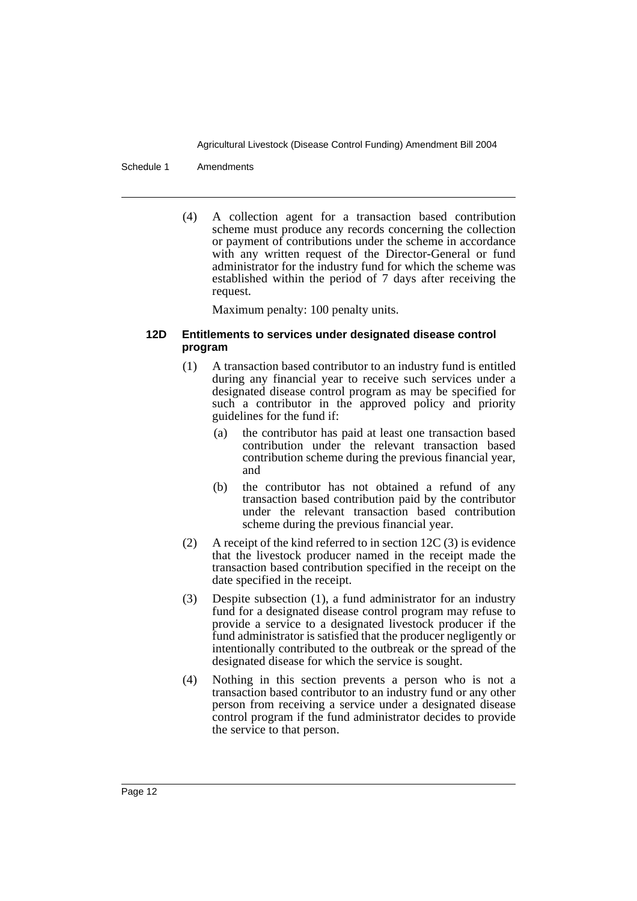Schedule 1 Amendments

(4) A collection agent for a transaction based contribution scheme must produce any records concerning the collection or payment of contributions under the scheme in accordance with any written request of the Director-General or fund administrator for the industry fund for which the scheme was established within the period of 7 days after receiving the request.

Maximum penalty: 100 penalty units.

### **12D Entitlements to services under designated disease control program**

- (1) A transaction based contributor to an industry fund is entitled during any financial year to receive such services under a designated disease control program as may be specified for such a contributor in the approved policy and priority guidelines for the fund if:
	- (a) the contributor has paid at least one transaction based contribution under the relevant transaction based contribution scheme during the previous financial year, and
	- (b) the contributor has not obtained a refund of any transaction based contribution paid by the contributor under the relevant transaction based contribution scheme during the previous financial year.
- (2) A receipt of the kind referred to in section 12C (3) is evidence that the livestock producer named in the receipt made the transaction based contribution specified in the receipt on the date specified in the receipt.
- (3) Despite subsection (1), a fund administrator for an industry fund for a designated disease control program may refuse to provide a service to a designated livestock producer if the fund administrator is satisfied that the producer negligently or intentionally contributed to the outbreak or the spread of the designated disease for which the service is sought.
- (4) Nothing in this section prevents a person who is not a transaction based contributor to an industry fund or any other person from receiving a service under a designated disease control program if the fund administrator decides to provide the service to that person.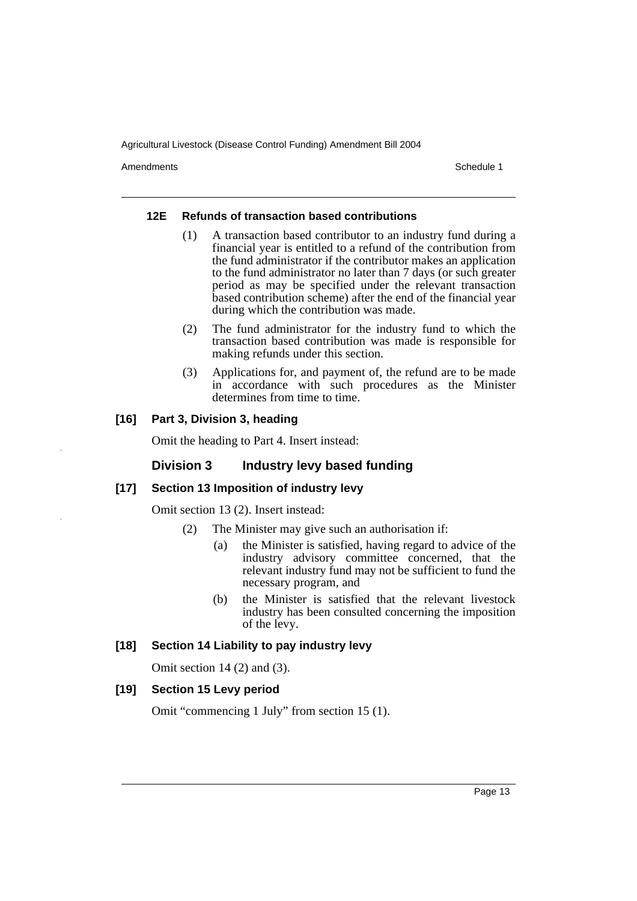Amendments **Amendments** Schedule 1

#### **12E Refunds of transaction based contributions**

- (1) A transaction based contributor to an industry fund during a financial year is entitled to a refund of the contribution from the fund administrator if the contributor makes an application to the fund administrator no later than 7 days (or such greater period as may be specified under the relevant transaction based contribution scheme) after the end of the financial year during which the contribution was made.
- (2) The fund administrator for the industry fund to which the transaction based contribution was made is responsible for making refunds under this section.
- (3) Applications for, and payment of, the refund are to be made in accordance with such procedures as the Minister determines from time to time.

# **[16] Part 3, Division 3, heading**

Omit the heading to Part 4. Insert instead:

# **Division 3 Industry levy based funding**

## **[17] Section 13 Imposition of industry levy**

Omit section 13 (2). Insert instead:

- (2) The Minister may give such an authorisation if:
	- (a) the Minister is satisfied, having regard to advice of the industry advisory committee concerned, that the relevant industry fund may not be sufficient to fund the necessary program, and
	- (b) the Minister is satisfied that the relevant livestock industry has been consulted concerning the imposition of the levy.

#### **[18] Section 14 Liability to pay industry levy**

Omit section 14 (2) and (3).

### **[19] Section 15 Levy period**

Omit "commencing 1 July" from section 15 (1).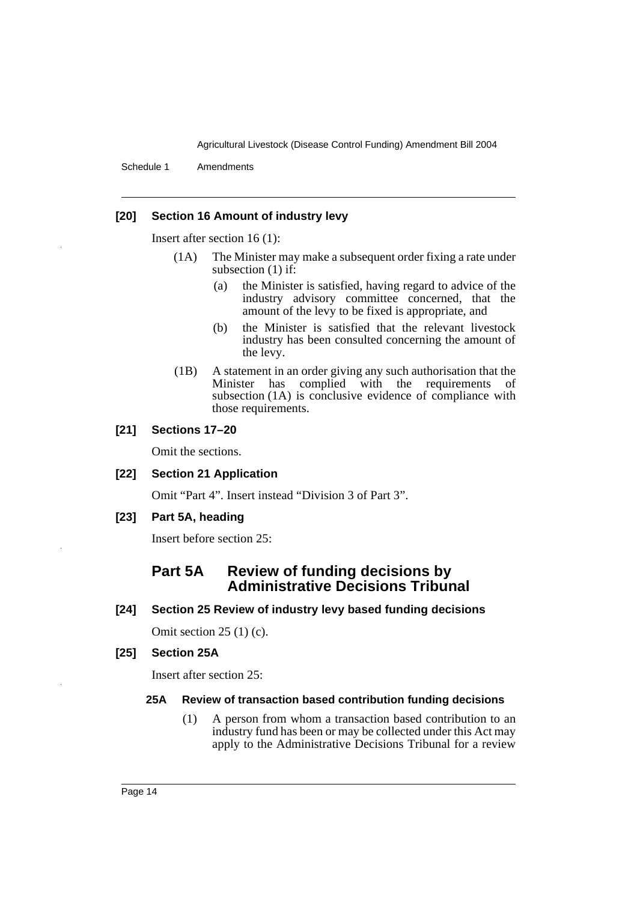Schedule 1 Amendments

#### **[20] Section 16 Amount of industry levy**

Insert after section 16 (1):

- (1A) The Minister may make a subsequent order fixing a rate under subsection (1) if:
	- (a) the Minister is satisfied, having regard to advice of the industry advisory committee concerned, that the amount of the levy to be fixed is appropriate, and
	- (b) the Minister is satisfied that the relevant livestock industry has been consulted concerning the amount of the levy.
- (1B) A statement in an order giving any such authorisation that the Minister has complied with the requirements of subsection (1A) is conclusive evidence of compliance with those requirements.

#### **[21] Sections 17–20**

Omit the sections.

### **[22] Section 21 Application**

Omit "Part 4". Insert instead "Division 3 of Part 3".

**[23] Part 5A, heading**

Insert before section 25:

# **Part 5A Review of funding decisions by Administrative Decisions Tribunal**

**[24] Section 25 Review of industry levy based funding decisions**

Omit section 25 (1) (c).

## **[25] Section 25A**

Insert after section 25:

#### **25A Review of transaction based contribution funding decisions**

(1) A person from whom a transaction based contribution to an industry fund has been or may be collected under this Act may apply to the Administrative Decisions Tribunal for a review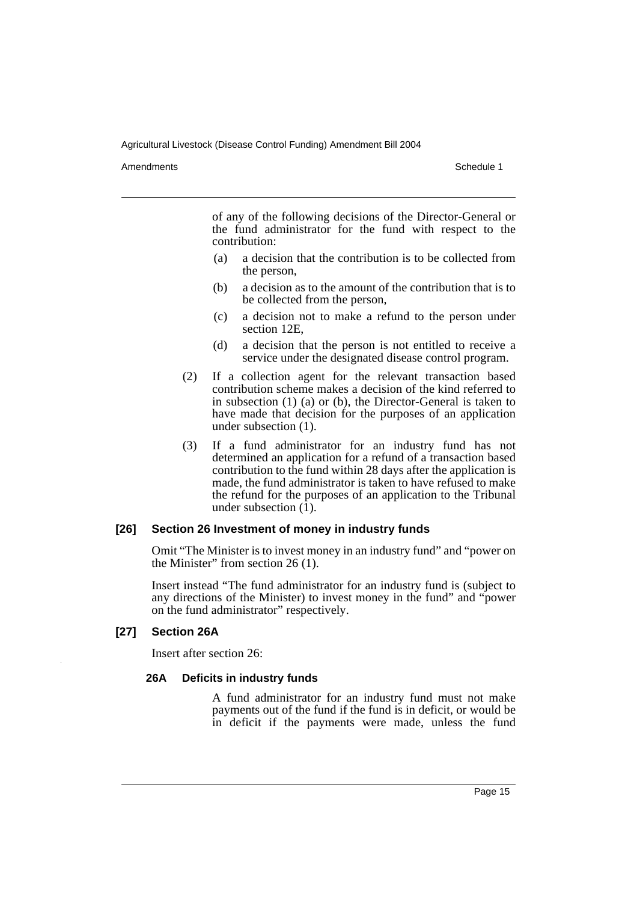Amendments **Amendments** Schedule 1

of any of the following decisions of the Director-General or the fund administrator for the fund with respect to the contribution:

- (a) a decision that the contribution is to be collected from the person,
- (b) a decision as to the amount of the contribution that is to be collected from the person,
- (c) a decision not to make a refund to the person under section 12E,
- (d) a decision that the person is not entitled to receive a service under the designated disease control program.
- (2) If a collection agent for the relevant transaction based contribution scheme makes a decision of the kind referred to in subsection (1) (a) or (b), the Director-General is taken to have made that decision for the purposes of an application under subsection (1).
- (3) If a fund administrator for an industry fund has not determined an application for a refund of a transaction based contribution to the fund within 28 days after the application is made, the fund administrator is taken to have refused to make the refund for the purposes of an application to the Tribunal under subsection  $(\overline{1})$ .

#### **[26] Section 26 Investment of money in industry funds**

Omit "The Minister is to invest money in an industry fund" and "power on the Minister" from section 26 (1).

Insert instead "The fund administrator for an industry fund is (subject to any directions of the Minister) to invest money in the fund" and "power on the fund administrator" respectively.

## **[27] Section 26A**

Insert after section 26:

#### **26A Deficits in industry funds**

A fund administrator for an industry fund must not make payments out of the fund if the fund is in deficit, or would be in deficit if the payments were made, unless the fund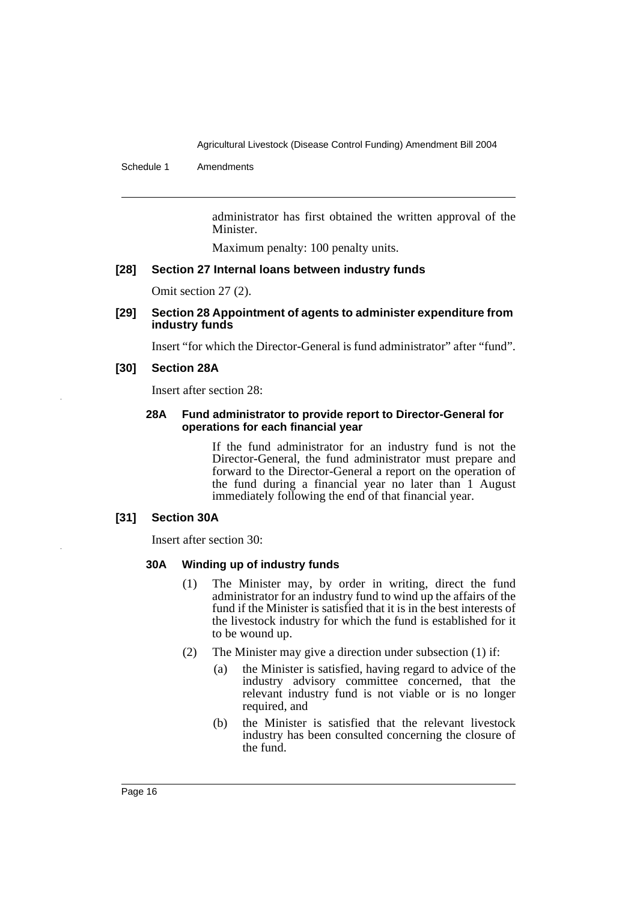Schedule 1 Amendments

administrator has first obtained the written approval of the Minister.

Maximum penalty: 100 penalty units.

#### **[28] Section 27 Internal loans between industry funds**

Omit section 27 (2).

#### **[29] Section 28 Appointment of agents to administer expenditure from industry funds**

Insert "for which the Director-General is fund administrator" after "fund".

#### **[30] Section 28A**

Insert after section 28:

#### **28A Fund administrator to provide report to Director-General for operations for each financial year**

If the fund administrator for an industry fund is not the Director-General, the fund administrator must prepare and forward to the Director-General a report on the operation of the fund during a financial year no later than 1 August immediately following the end of that financial year.

#### **[31] Section 30A**

Insert after section 30:

#### **30A Winding up of industry funds**

- (1) The Minister may, by order in writing, direct the fund administrator for an industry fund to wind up the affairs of the fund if the Minister is satisfied that it is in the best interests of the livestock industry for which the fund is established for it to be wound up.
- (2) The Minister may give a direction under subsection (1) if:
	- (a) the Minister is satisfied, having regard to advice of the industry advisory committee concerned, that the relevant industry fund is not viable or is no longer required, and
	- (b) the Minister is satisfied that the relevant livestock industry has been consulted concerning the closure of the fund.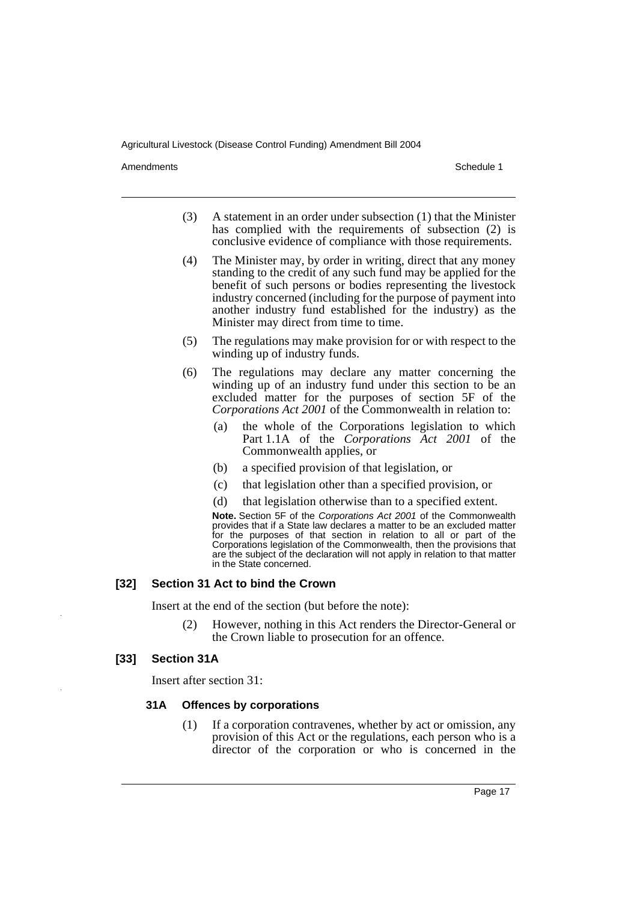Amendments **Amendments** Schedule 1

- (3) A statement in an order under subsection (1) that the Minister has complied with the requirements of subsection (2) is conclusive evidence of compliance with those requirements.
- (4) The Minister may, by order in writing, direct that any money standing to the credit of any such fund may be applied for the benefit of such persons or bodies representing the livestock industry concerned (including for the purpose of payment into another industry fund established for the industry) as the Minister may direct from time to time.
- (5) The regulations may make provision for or with respect to the winding up of industry funds.
- (6) The regulations may declare any matter concerning the winding up of an industry fund under this section to be an excluded matter for the purposes of section 5F of the *Corporations Act 2001* of the Commonwealth in relation to:
	- (a) the whole of the Corporations legislation to which Part 1.1A of the *Corporations Act 2001* of the Commonwealth applies, or
	- (b) a specified provision of that legislation, or
	- (c) that legislation other than a specified provision, or
	- (d) that legislation otherwise than to a specified extent.

**Note.** Section 5F of the *Corporations Act 2001* of the Commonwealth provides that if a State law declares a matter to be an excluded matter for the purposes of that section in relation to all or part of the Corporations legislation of the Commonwealth, then the provisions that are the subject of the declaration will not apply in relation to that matter in the State concerned.

## **[32] Section 31 Act to bind the Crown**

Insert at the end of the section (but before the note):

(2) However, nothing in this Act renders the Director-General or the Crown liable to prosecution for an offence.

#### **[33] Section 31A**

Insert after section 31:

#### **31A Offences by corporations**

(1) If a corporation contravenes, whether by act or omission, any provision of this Act or the regulations, each person who is a director of the corporation or who is concerned in the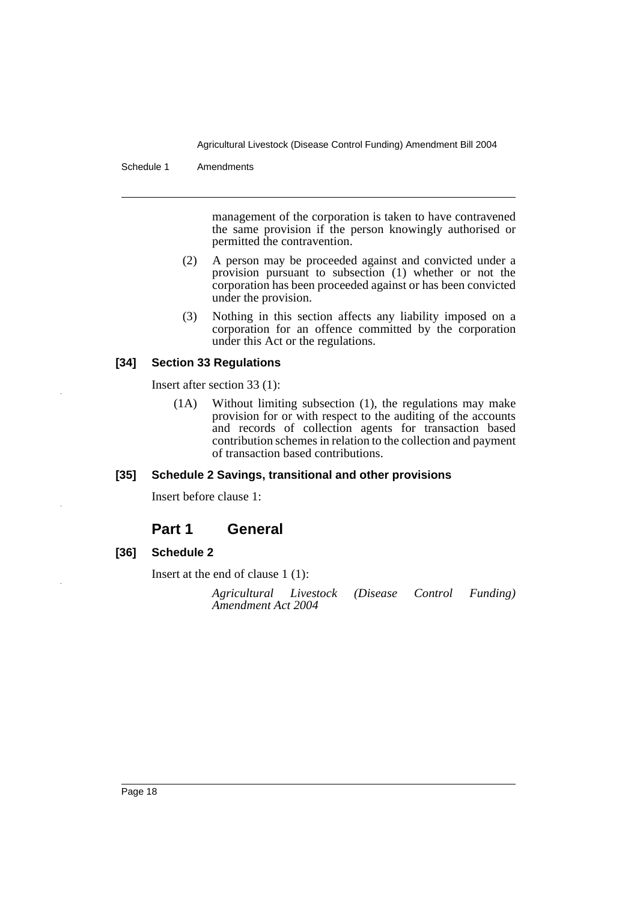Schedule 1 Amendments

management of the corporation is taken to have contravened the same provision if the person knowingly authorised or permitted the contravention.

- (2) A person may be proceeded against and convicted under a provision pursuant to subsection (1) whether or not the corporation has been proceeded against or has been convicted under the provision.
- (3) Nothing in this section affects any liability imposed on a corporation for an offence committed by the corporation under this Act or the regulations.

## **[34] Section 33 Regulations**

Insert after section 33 (1):

(1A) Without limiting subsection (1), the regulations may make provision for or with respect to the auditing of the accounts and records of collection agents for transaction based contribution schemes in relation to the collection and payment of transaction based contributions.

#### **[35] Schedule 2 Savings, transitional and other provisions**

Insert before clause 1:

# **Part 1 General**

# **[36] Schedule 2**

Insert at the end of clause 1 (1):

*Agricultural Livestock (Disease Control Funding) Amendment Act 2004*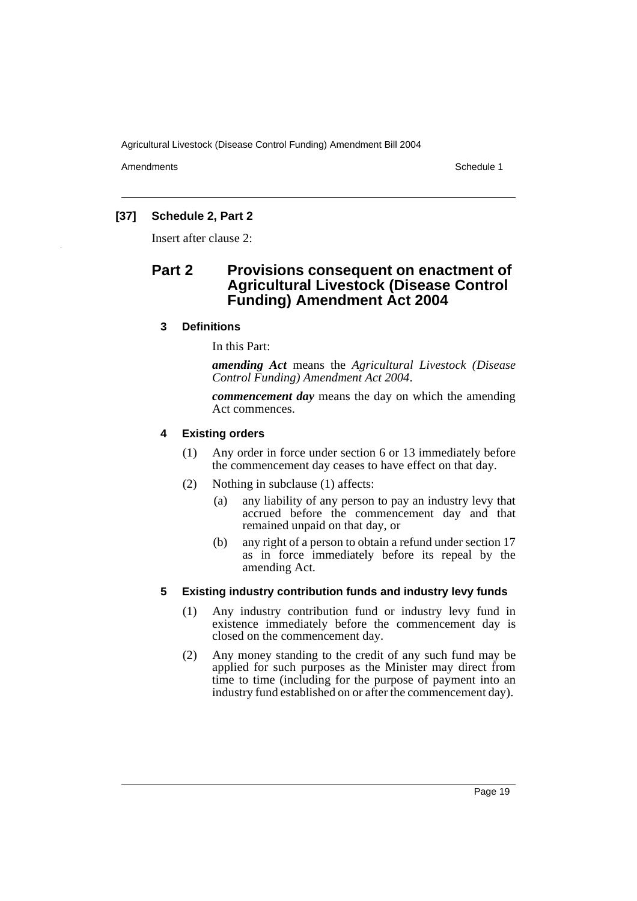Amendments **Amendments** Schedule 1

# **[37] Schedule 2, Part 2**

Insert after clause 2:

# **Part 2 Provisions consequent on enactment of Agricultural Livestock (Disease Control Funding) Amendment Act 2004**

## **3 Definitions**

In this Part:

*amending Act* means the *Agricultural Livestock (Disease Control Funding) Amendment Act 2004*.

*commencement day* means the day on which the amending Act commences.

#### **4 Existing orders**

- (1) Any order in force under section 6 or 13 immediately before the commencement day ceases to have effect on that day.
- (2) Nothing in subclause (1) affects:
	- (a) any liability of any person to pay an industry levy that accrued before the commencement day and that remained unpaid on that day, or
	- (b) any right of a person to obtain a refund under section 17 as in force immediately before its repeal by the amending Act.

#### **5 Existing industry contribution funds and industry levy funds**

- (1) Any industry contribution fund or industry levy fund in existence immediately before the commencement day is closed on the commencement day.
- (2) Any money standing to the credit of any such fund may be applied for such purposes as the Minister may direct from time to time (including for the purpose of payment into an industry fund established on or after the commencement day).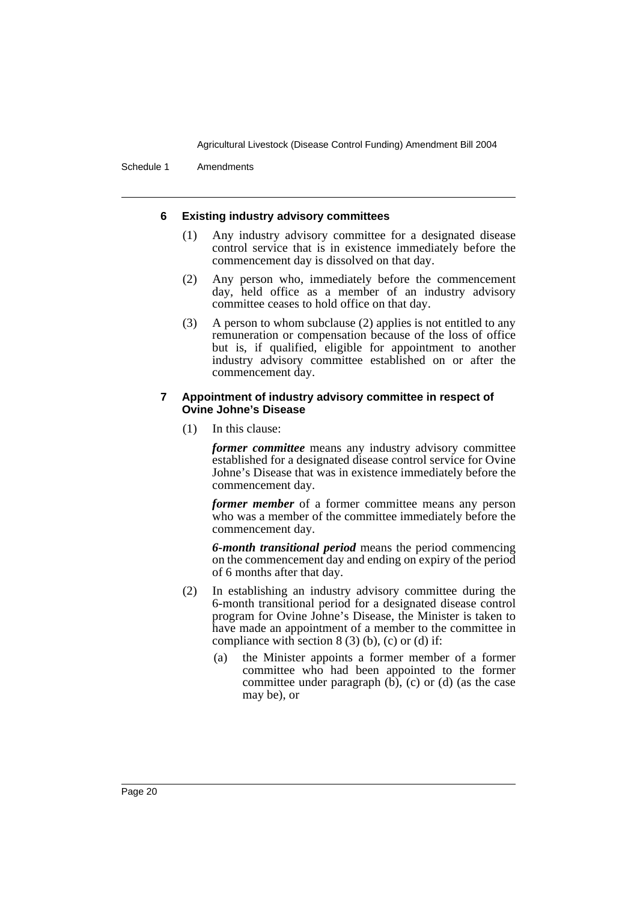Schedule 1 Amendments

#### **6 Existing industry advisory committees**

- (1) Any industry advisory committee for a designated disease control service that is in existence immediately before the commencement day is dissolved on that day.
- (2) Any person who, immediately before the commencement day, held office as a member of an industry advisory committee ceases to hold office on that day.
- (3) A person to whom subclause (2) applies is not entitled to any remuneration or compensation because of the loss of office but is, if qualified, eligible for appointment to another industry advisory committee established on or after the commencement day.

#### **7 Appointment of industry advisory committee in respect of Ovine Johne's Disease**

(1) In this clause:

*former committee* means any industry advisory committee established for a designated disease control service for Ovine Johne's Disease that was in existence immediately before the commencement day.

*former member* of a former committee means any person who was a member of the committee immediately before the commencement day.

*6-month transitional period* means the period commencing on the commencement day and ending on expiry of the period of 6 months after that day.

- (2) In establishing an industry advisory committee during the 6-month transitional period for a designated disease control program for Ovine Johne's Disease, the Minister is taken to have made an appointment of a member to the committee in compliance with section  $8(3)(b)$ , (c) or (d) if:
	- (a) the Minister appoints a former member of a former committee who had been appointed to the former committee under paragraph  $(b)$ ,  $(c)$  or  $(d)$  (as the case may be), or